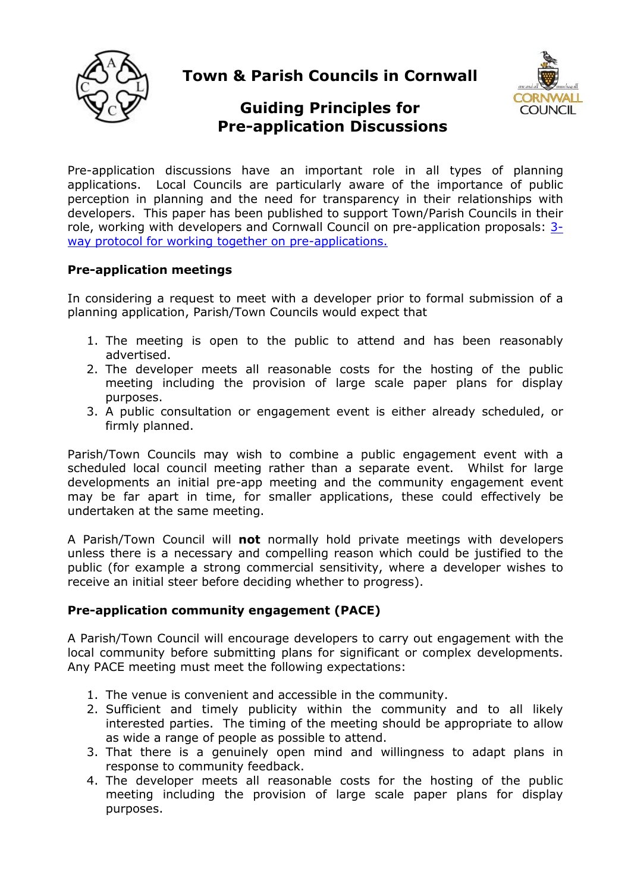

**Town & Parish Councils in Cornwall**



# **Guiding Principles for Pre-application Discussions**

Pre-application discussions have an important role in all types of planning applications. Local Councils are particularly aware of the importance of public perception in planning and the need for transparency in their relationships with developers. This paper has been published to support Town/Parish Councils in their role, working with developers and Cornwall Council on pre-application proposals: [3](https://www.cornwall.gov.uk/media/30161418/local-councils-cornwall-council-and-developers-protocol-for-working-together-on-pre-apps-sept-2017.pdf) [way protocol for working together on pre-applications.](https://www.cornwall.gov.uk/media/30161418/local-councils-cornwall-council-and-developers-protocol-for-working-together-on-pre-apps-sept-2017.pdf)

## **Pre-application meetings**

In considering a request to meet with a developer prior to formal submission of a planning application, Parish/Town Councils would expect that

- 1. The meeting is open to the public to attend and has been reasonably advertised.
- 2. The developer meets all reasonable costs for the hosting of the public meeting including the provision of large scale paper plans for display purposes.
- 3. A public consultation or engagement event is either already scheduled, or firmly planned.

Parish/Town Councils may wish to combine a public engagement event with a scheduled local council meeting rather than a separate event. Whilst for large developments an initial pre-app meeting and the community engagement event may be far apart in time, for smaller applications, these could effectively be undertaken at the same meeting.

A Parish/Town Council will **not** normally hold private meetings with developers unless there is a necessary and compelling reason which could be justified to the public (for example a strong commercial sensitivity, where a developer wishes to receive an initial steer before deciding whether to progress).

## **Pre-application community engagement (PACE)**

A Parish/Town Council will encourage developers to carry out engagement with the local community before submitting plans for significant or complex developments. Any PACE meeting must meet the following expectations:

- 1. The venue is convenient and accessible in the community.
- 2. Sufficient and timely publicity within the community and to all likely interested parties. The timing of the meeting should be appropriate to allow as wide a range of people as possible to attend.
- 3. That there is a genuinely open mind and willingness to adapt plans in response to community feedback.
- 4. The developer meets all reasonable costs for the hosting of the public meeting including the provision of large scale paper plans for display purposes.